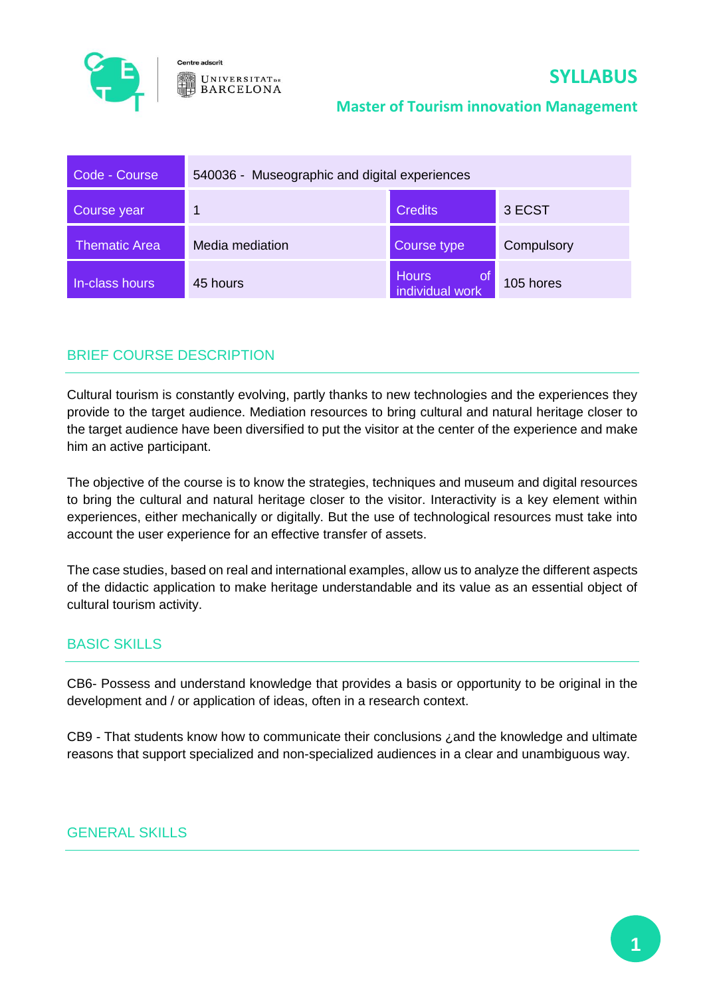

Centre adscrit **UNIVERSITATDE BARCELONA** 

#### **Master of Tourism innovation Management**

| Code - Course        | 540036 - Museographic and digital experiences |                                    |            |
|----------------------|-----------------------------------------------|------------------------------------|------------|
| Course year          |                                               | <b>Credits</b>                     | 3 ECST     |
| <b>Thematic Area</b> | Media mediation                               | Course type                        | Compulsory |
| In-class hours       | 45 hours                                      | Hours<br>l of i<br>individual work | 105 hores  |

# BRIEF COURSE DESCRIPTION

Cultural tourism is constantly evolving, partly thanks to new technologies and the experiences they provide to the target audience. Mediation resources to bring cultural and natural heritage closer to the target audience have been diversified to put the visitor at the center of the experience and make him an active participant.

The objective of the course is to know the strategies, techniques and museum and digital resources to bring the cultural and natural heritage closer to the visitor. Interactivity is a key element within experiences, either mechanically or digitally. But the use of technological resources must take into account the user experience for an effective transfer of assets.

The case studies, based on real and international examples, allow us to analyze the different aspects of the didactic application to make heritage understandable and its value as an essential object of cultural tourism activity.

## BASIC SKILLS

CB6- Possess and understand knowledge that provides a basis or opportunity to be original in the development and / or application of ideas, often in a research context.

CB9 - That students know how to communicate their conclusions ¿and the knowledge and ultimate reasons that support specialized and non-specialized audiences in a clear and unambiguous way.

#### GENERAL SKILLS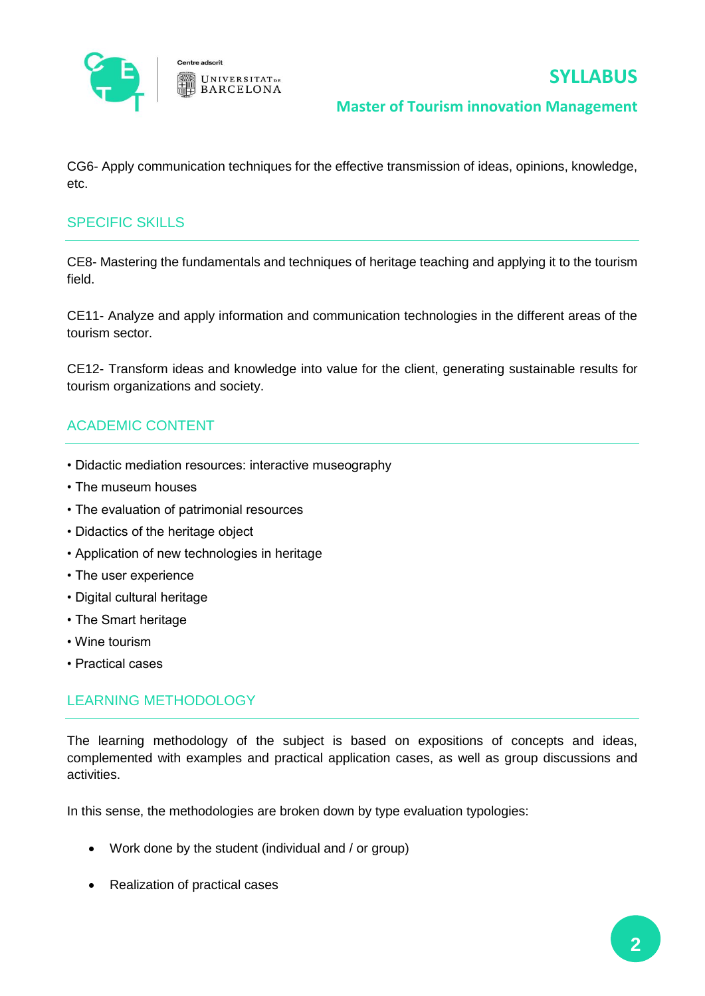

CG6- Apply communication techniques for the effective transmission of ideas, opinions, knowledge, etc.

### SPECIFIC SKILLS

CE8- Mastering the fundamentals and techniques of heritage teaching and applying it to the tourism field.

CE11- Analyze and apply information and communication technologies in the different areas of the tourism sector.

CE12- Transform ideas and knowledge into value for the client, generating sustainable results for tourism organizations and society.

# ACADEMIC CONTENT

- Didactic mediation resources: interactive museography
- The museum houses
- The evaluation of patrimonial resources
- Didactics of the heritage object
- Application of new technologies in heritage
- The user experience
- Digital cultural heritage
- The Smart heritage
- Wine tourism
- Practical cases

### LEARNING METHODOLOGY

The learning methodology of the subject is based on expositions of concepts and ideas, complemented with examples and practical application cases, as well as group discussions and activities.

In this sense, the methodologies are broken down by type evaluation typologies:

- Work done by the student (individual and / or group)
- Realization of practical cases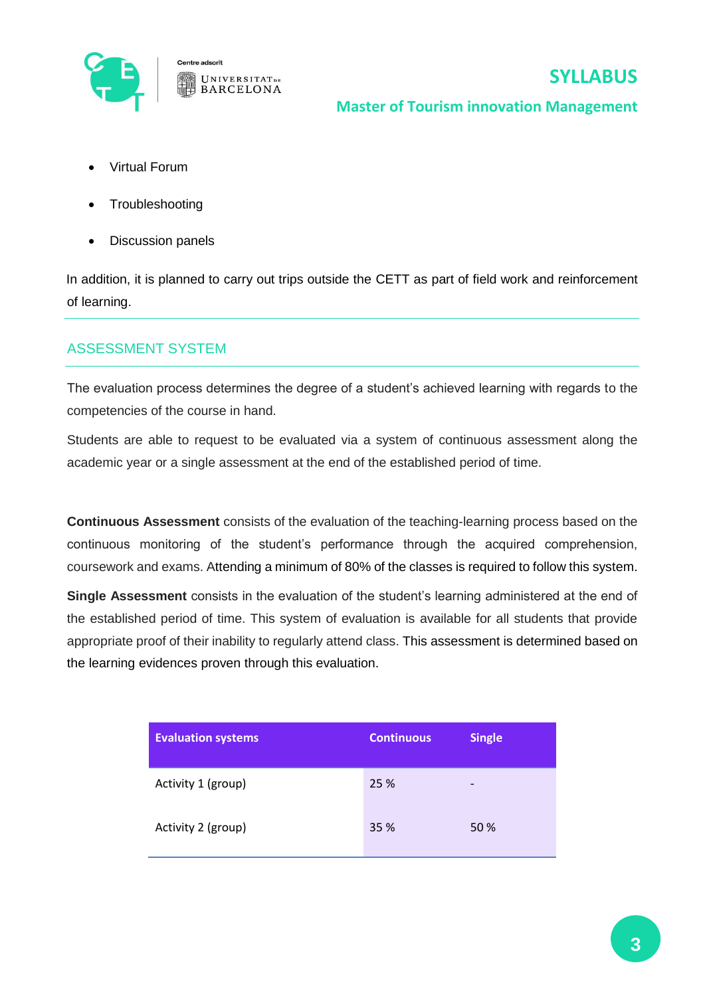

- Virtual Forum
- **Troubleshooting**
- Discussion panels

In addition, it is planned to carry out trips outside the CETT as part of field work and reinforcement of learning.

### ASSESSMENT SYSTEM

The evaluation process determines the degree of a student's achieved learning with regards to the competencies of the course in hand.

Students are able to request to be evaluated via a system of continuous assessment along the academic year or a single assessment at the end of the established period of time.

**Continuous Assessment** consists of the evaluation of the teaching-learning process based on the continuous monitoring of the student's performance through the acquired comprehension, coursework and exams. Attending a minimum of 80% of the classes is required to follow this system.

**Single Assessment** consists in the evaluation of the student's learning administered at the end of the established period of time. This system of evaluation is available for all students that provide appropriate proof of their inability to regularly attend class. This assessment is determined based on the learning evidences proven through this evaluation.

| <b>Evaluation systems</b> | <b>Continuous</b> | <b>Single</b> |
|---------------------------|-------------------|---------------|
| Activity 1 (group)        | 25 %              | -             |
| Activity 2 (group)        | 35 %              | 50 %          |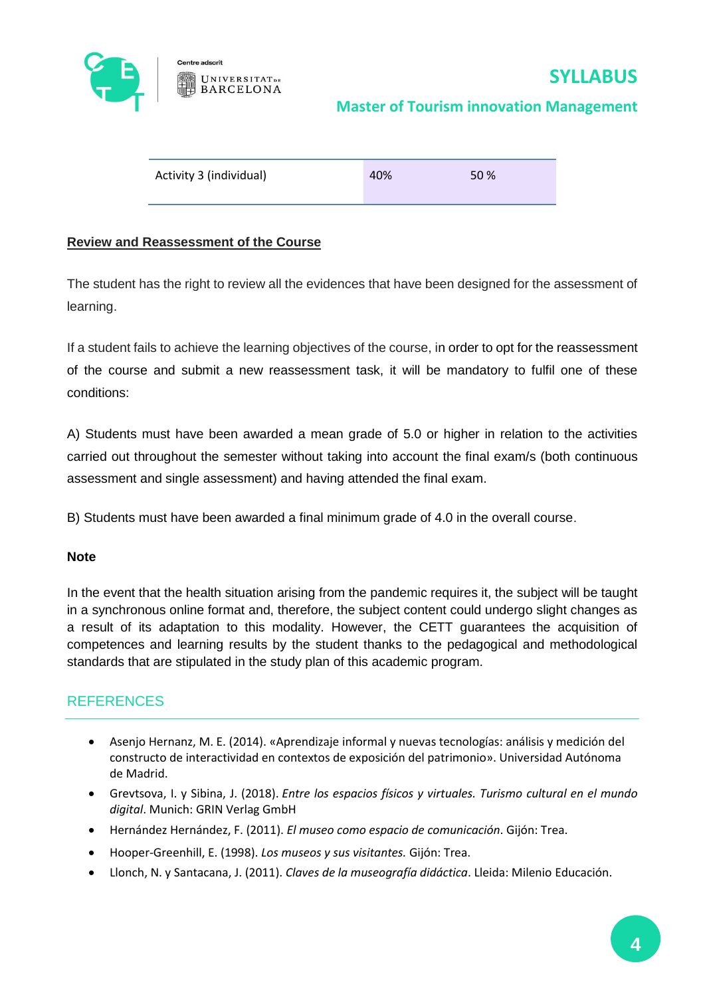

| Activity 3 (individual) | 40% | 50 % |
|-------------------------|-----|------|
|-------------------------|-----|------|

#### **Review and Reassessment of the Course**

The student has the right to review all the evidences that have been designed for the assessment of learning.

If a student fails to achieve the learning objectives of the course, in order to opt for the reassessment of the course and submit a new reassessment task, it will be mandatory to fulfil one of these conditions:

A) Students must have been awarded a mean grade of 5.0 or higher in relation to the activities carried out throughout the semester without taking into account the final exam/s (both continuous assessment and single assessment) and having attended the final exam.

B) Students must have been awarded a final minimum grade of 4.0 in the overall course.

#### **Note**

In the event that the health situation arising from the pandemic requires it, the subject will be taught in a synchronous online format and, therefore, the subject content could undergo slight changes as a result of its adaptation to this modality. However, the CETT guarantees the acquisition of competences and learning results by the student thanks to the pedagogical and methodological standards that are stipulated in the study plan of this academic program.

### **REFERENCES**

- Asenjo Hernanz, M. E. (2014). «Aprendizaje informal y nuevas tecnologías: análisis y medición del constructo de interactividad en contextos de exposición del patrimonio». Universidad Autónoma de Madrid.
- Grevtsova, I. y Sibina, J. (2018). *Entre los espacios físicos y virtuales. Turismo cultural en el mundo digital*. Munich: GRIN Verlag GmbH
- Hernández Hernández, F. (2011). *El museo como espacio de comunicación*. Gijón: Trea.
- Hooper-Greenhill, E. (1998). *Los museos y sus visitantes.* Gijón: Trea.
- Llonch, N. y Santacana, J. (2011). *Claves de la museografía didáctica*. Lleida: Milenio Educación.